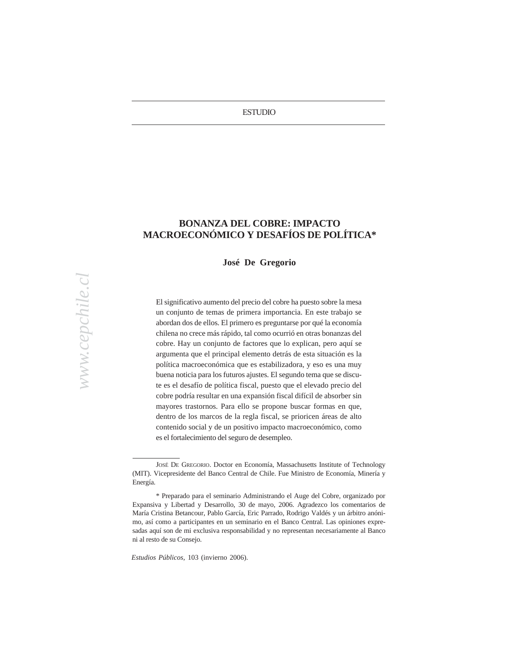# Harbingers of the Concertación's demise point out that the Chilean ESTUDIO

economy has slowed somewhat since the coalition's early years in

with Chile's unusual electoral rules.

## **BONANZA DEL COBRE: IMPACTO** LATING ANGLESS AND LATING ANY **MACROECONÓMICO Y DESAFÍOS DE POLÍTICA\***

parliamentary rights from five of the coalition's deputies in 2002, and the **José De Gregorio**

 $A_{\rm eff}$  for the set forces, or some combination of them, could independent of them, could independent of them, could independent of the main  $\alpha$ El significativo aumento del precio del cobre ha puesto sobre la mesa un conjunto de temas de primera importancia. En este trabajo se abordan dos de ellos. El primero es preguntarse por qué la economía emena no crece mas rapido, an como ocurrio en otras bonanzas del cobre. Hay un conjunto de factores que lo explican, pero aquí se esso. They an estigante de naciones que to explorant, pero aqui se argumenta que el principal elemento detrás de esta situación es la Concertación may well be in a position in 2005 to claim credit for good política macroeconómica que es estabilizadora, y eso es una muy economic steuronomic steuronomic a para los futuros ajustes. El segundo tema que se discute es el desafío de política fiscal, puesto que el elevado precio del chilena no crece más rápido, tal como ocurrió en otras bonanzas del cobre podría resultar en una expansión fiscal difícil de absorber sin mayores trastornos. Para ello se propone buscar formas en que, dentro de los marcos de la regla fiscal, se prioricen áreas de alto contenido social y de un positivo impacto macroeconómico, como es el fortalecimiento del seguro de desempleo.

JOSÉ DE GREGORIO. Doctor en Economía, Massachusetts Institute of Technology (MIT). Vicepresidente del Banco Central de Chile. Fue Ministro de Economía, Minería y Energía.

<sup>\*</sup> Preparado para el seminario Administrando el Auge del Cobre, organizado por Expansiva y Libertad y Desarrollo, 30 de mayo, 2006. Agradezco los comentarios de María Cristina Betancour, Pablo García, Eric Parrado, Rodrigo Valdés y un árbitro anónimo, así como a participantes en un seminario en el Banco Central. Las opiniones expresadas aquí son de mi exclusiva responsabilidad y no representan necesariamente al Banco ni al resto de su Consejo.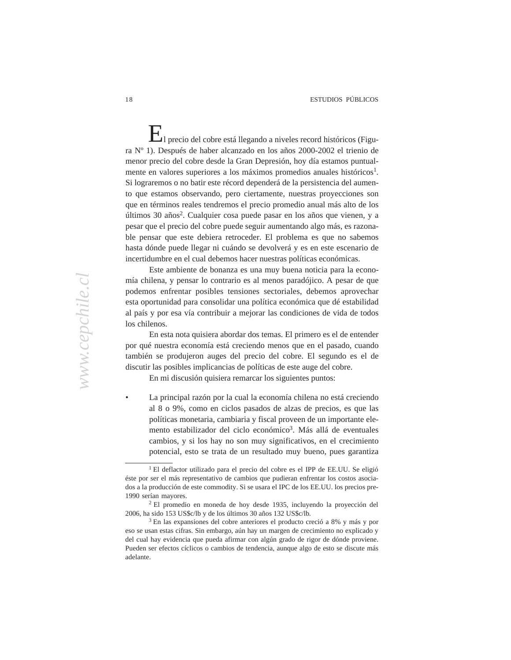government during the 1990s. Moreover, the coalition itself was initially  $\Gamma$ <sub>l</sub> precio del cobre está llegando a niveles record históricos (Figura Nº 1). Después de haber alcanzado en los años 2000-2002 el trienio de menor precio del cobre desde la Gran Depresión, hoy día estamos puntualmente en valores superiores a los máximos promedios anuales históricos<sup>1</sup>. Si lograremos o no batir este récord dependerá de la persistencia del aumento que estamos observando, pero ciertamente, nuestras proyecciones son que en términos reales tendremos el precio promedio anual más alto de los últimos 30 años<sup>2</sup>. Cualquier cosa puede pasar en los años que vienen, y a pesar que el precio del cobre puede seguir aumentando algo más, es razonable pensar que este debiera retroceder. El problema es que no sabemos hasta dónde puede llegar ni cuándo se devolverá y es en este escenario de incertidumbre en el cual debemos hacer nuestras políticas económicas.

economy has slowed somewhat since the coalition's early years in

Este ambiente de bonanza es una muy buena noticia para la economía chilena, y pensar lo contrario es al menos paradójico. A pesar de que podemos enfrentar posibles tensiones sectoriales, debemos aprovechar esta oportunidad para consolidar una política económica que dé estabilidad al país y por esa vía contribuir a mejorar las condiciones de vida de todos  $\frac{1}{2}$  the chilean equation equation equation through the last five years five years five years five years five years five years five years five years five years five years five years five years five years five years f los chilenos.

En esta nota quisiera abordar dos temas. El primero es el de entender por qué nuestra economía está creciendo menos que en el pasado, cuando también se produjeron auges del precio del cobre. El segundo es el de discutir las posibles implicancias de políticas de este auge del cobre.

En mi discusión quisiera remarcar los siguientes puntos:

• La principal razón por la cual la economía chilena no está creciendo al 8 o 9%, como en ciclos pasados de alzas de precios, es que las políticas monetaria, cambiaria y fiscal proveen de un importante elemento estabilizador del ciclo económico<sup>3</sup>. Más allá de eventuales cambios, y si los hay no son muy significativos, en el crecimiento potencial, esto se trata de un resultado muy bueno, pues garantiza

<sup>1</sup> El deflactor utilizado para el precio del cobre es el IPP de EE.UU. Se eligió éste por ser el más representativo de cambios que pudieran enfrentar los costos asociados a la producción de este commodity. Si se usara el IPC de los EE.UU. los precios pre-1990 serían mayores.

<sup>2</sup> El promedio en moneda de hoy desde 1935, incluyendo la proyección del 2006, ha sido 153 US\$c/lb y de los últimos 30 años 132 US\$c/lb*.*

<sup>3</sup> En las expansiones del cobre anteriores el producto creció a 8% y más y por eso se usan estas cifras. Sin embargo, aún hay un margen de crecimiento no explicado y del cual hay evidencia que pueda afirmar con algún grado de rigor de dónde proviene. Pueden ser efectos cíclicos o cambios de tendencia, aunque algo de esto se discute más adelante.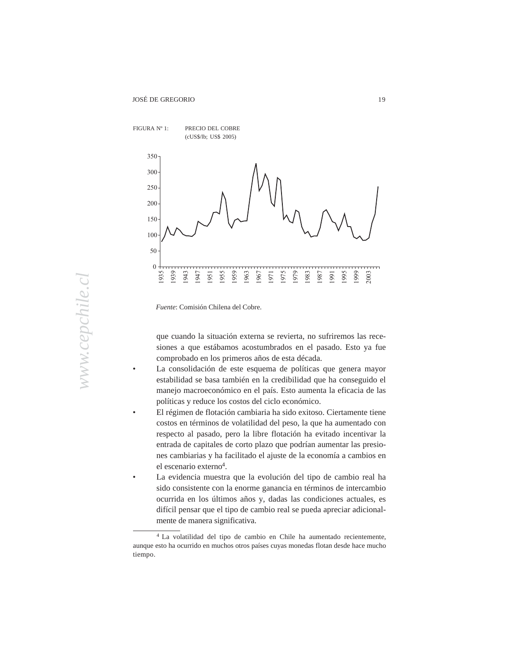

*Fuente*: Comisión Chilena del Cobre.

que cuando la situación externa se revierta, no sufriremos las recesiones a que estábamos acostumbrados en el pasado. Esto ya fue comprobado en los primeros años de esta década.

- La consolidación de este esquema de políticas que genera mayor estabilidad se basa también en la credibilidad que ha conseguido el manejo macroeconómico en el país. Esto aumenta la eficacia de las políticas y reduce los costos del ciclo económico.
	- El régimen de flotación cambiaria ha sido exitoso. Ciertamente tiene costos en términos de volatilidad del peso, la que ha aumentado con respecto al pasado, pero la libre flotación ha evitado incentivar la entrada de capitales de corto plazo que podrían aumentar las presiones cambiarias y ha facilitado el ajuste de la economía a cambios en el escenario externo<sup>4</sup>.
	- La evidencia muestra que la evolución del tipo de cambio real ha sido consistente con la enorme ganancia en términos de intercambio ocurrida en los últimos años y, dadas las condiciones actuales, es difícil pensar que el tipo de cambio real se pueda apreciar adicionalmente de manera significativa.

<sup>4</sup> La volatilidad del tipo de cambio en Chile ha aumentado recientemente, aunque esto ha ocurrido en muchos otros países cuyas monedas flotan desde hace mucho tiempo.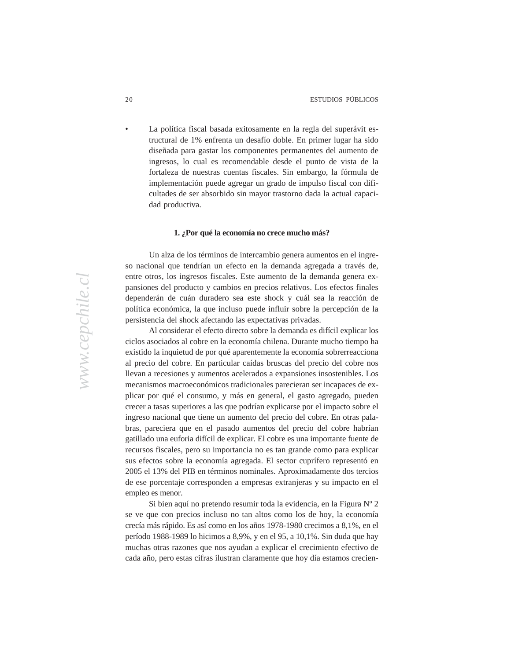economy has slowed somewhat since the coalition's early years in • La política fiscal basada exitosamente en la regla del superávit estructural de 1% enfrenta un desafío doble. En primer lugar ha sido diseñada para gastar los componentes permanentes del aumento de ingresos, lo cual es recomendable desde el punto de vista de la fortaleza de nuestras cuentas fiscales. Sin embargo, la fórmula de implementación puede agregar un grado de impulso fiscal con dificultades de ser absorbido sin mayor trastorno dada la actual capacidad productiva. dad productiva.

## 1. ¿Por qué la economía no crece mucho más?  $\sim$  the Concertación is geriatric, bearing the scars of miscellaneous scars of miscellaneous scars of miscellaneous scars of miscellaneous scars of miscellaneous scars of miscellaneous scars of miscellaneous scars of mis

Un alza de los términos de intercambio genera aumentos en el ingreso nacional que tendrían un efecto en la demanda agregada a través de, entre otros, los ingresos fiscales. Este aumento de la demanda genera expansiones del producto y cambios en precios relativos. Los efectos finales dependerán de cuán duradero sea este shock y cuál sea la reacción de política económica, la que incluso puede influir sobre la percepción de la necessarily devant for a number of reasons to the contract persistencia del shock afectando las expectativas privadas.

Al considerar el efecto directo sobre la demanda es difícil explicar los ciclos asociados al cobre en la economía chilena. Durante mucho tiempo ha existido la inquietud de por qué aparentemente la economía sobrerreacciona al precio del cobre. En particular caídas bruscas del precio del cobre nos llevan a recesiones y aumentos acelerados a expansiones insostenibles. Los mecanismos macroeconómicos tradicionales parecieran ser incapaces de explicar por qué el consumo, y más en general, el gasto agregado, pueden crecer a tasas superiores a las que podrían explicarse por el impacto sobre el ingreso nacional que tiene un aumento del precio del cobre. En otras palabras, pareciera que en el pasado aumentos del precio del cobre habrían gatillado una euforia difícil de explicar. El cobre es una importante fuente de recursos fiscales, pero su importancia no es tan grande como para explicar sus efectos sobre la economía agregada. El sector cuprífero representó en 2005 el 13% del PIB en términos nominales. Aproximadamente dos tercios de ese porcentaje corresponden a empresas extranjeras y su impacto en el empleo es menor.

> Si bien aquí no pretendo resumir toda la evidencia, en la Figura Nº 2 se ve que con precios incluso no tan altos como los de hoy, la economía crecía más rápido. Es así como en los años 1978-1980 crecimos a 8,1%, en el período 1988-1989 lo hicimos a 8,9%, y en el 95, a 10,1%. Sin duda que hay muchas otras razones que nos ayudan a explicar el crecimiento efectivo de cada año, pero estas cifras ilustran claramente que hoy día estamos crecien-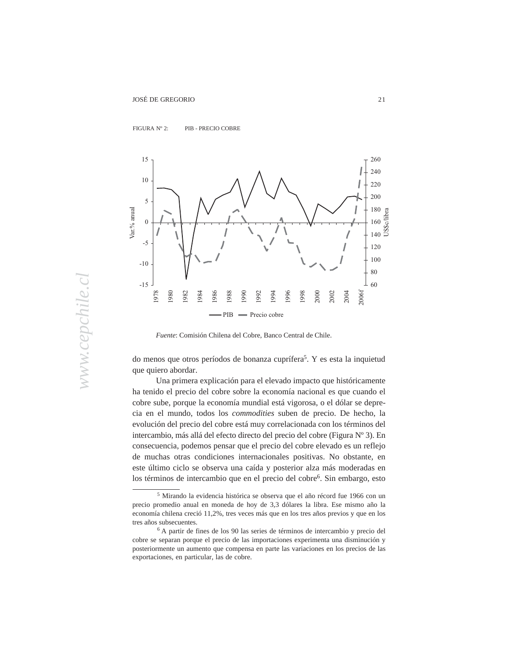

 $\frac{1}{2}$  The 1990s. Moreover, the coalition is in  $\frac{1}{2}$  in  $\frac{1}{2}$  in  $\frac{1}{2}$  in  $\frac{1}{2}$  in  $\frac{1}{2}$  in  $\frac{1}{2}$  in  $\frac{1}{2}$  in  $\frac{1}{2}$  in  $\frac{1}{2}$  in  $\frac{1}{2}$  in  $\frac{1}{2}$  in  $\frac{1}{2}$  in  $\frac{1}{2}$  in FIGURA Nº 2: PIB - PRECIO COBRE



*Fuente*: Comisión Chilena del Cobre, Banco Central de Chile.

do menos que otros períodos de bonanza cuprífera<sup>5</sup>. Y es esta la inquietud que quiero abordar.

Una primera explicación para el elevado impacto que históricamente ha tenido el precio del cobre sobre la economía nacional es que cuando el cobre sube, porque la economía mundial está vigorosa, o el dólar se deprecia en el mundo, todos los *commodities* suben de precio. De hecho, la evolución del precio del cobre está muy correlacionada con los términos del intercambio, más allá del efecto directo del precio del cobre (Figura Nº 3). En consecuencia, podemos pensar que el precio del cobre elevado es un reflejo de muchas otras condiciones internacionales positivas. No obstante, en este último ciclo se observa una caída y posterior alza más moderadas en los términos de intercambio que en el precio del cobre<sup>6</sup>. Sin embargo, esto

<sup>5</sup> Mirando la evidencia histórica se observa que el año récord fue 1966 con un precio promedio anual en moneda de hoy de 3,3 dólares la libra. Ese mismo año la economía chilena creció 11,2%, tres veces más que en los tres años previos y que en los tres años subsecuentes.

<sup>6</sup> A partir de fines de los 90 las series de términos de intercambio y precio del cobre se separan porque el precio de las importaciones experimenta una disminución y posteriormente un aumento que compensa en parte las variaciones en los precios de las exportaciones, en particular, las de cobre.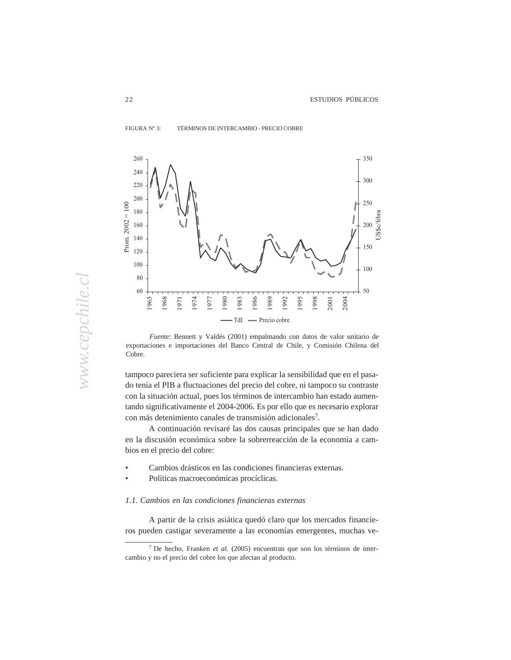

FIGURA Nº 3: TÉRMINOS DE INTERCAMBIO - PRECIO COBRE  $\frac{1}{2}$  TERNING DE INTERVANDIO \* I RECIO CODRE



*Fuente*: Bennett y Valdés (2001) empalmando con datos de valor unitario de exportaciones e importaciones del Banco Central de Chile, y Comisión Chilena del  $\mathcal{C}$  contribution in  $\mathcal{C}$  and  $\mathcal{C}$  are discussed for good to contribution in  $2005$  to contribution in  $\mathcal{C}$ Cobre.

tampoco pareciera ser suficiente para explicar la sensibilidad que en el pasado tenía el PIB a fluctuaciones del precio del cobre, ni tampoco su contraste con la situación actual, pues los términos de intercambio han estado aumentando significativamente el 2004-2006. Es por ello que es necesario explorar con más detenimiento canales de transmisión adicionales7.

> A continuación revisaré las dos causas principales que se han dado en la discusión económica sobre la sobrerreacción de la economía a cambios en el precio del cobre:

- Cambios drásticos en las condiciones financieras externas.
- Políticas macroeconómicas procíclicas.

## *1.1. Cambios en las condiciones financieras externas*

A partir de la crisis asiática quedó claro que los mercados financieros pueden castigar severamente a las economías emergentes, muchas ve-

<sup>7</sup> De hecho, Franken *et al.* (2005) encuentran que son los términos de intercambio y no el precio del cobre los que afectan al producto.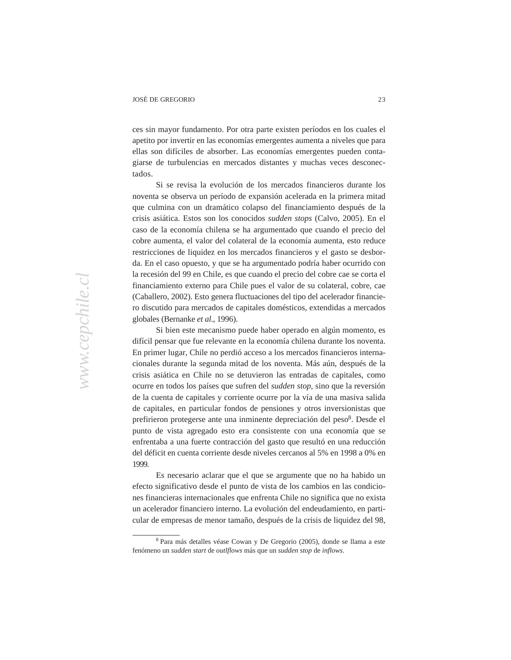economy has slowed somewhat since the coalition  $\mathcal{L}_{\mathcal{A}}$ ces sin mayor fundamento. Por otra parte existen períodos en los cuales el apetito por invertir en las economías emergentes aumenta a niveles que para ellas son difíciles de absorber. Las economías emergentes pueden contagiarse de turbulencias en mercados distantes y muchas veces desconec- $\mu$ dados. tados.

Si se revisa la evolución de los mercados financieros durante los noventa se observa un período de expansión acelerada en la primera mitad que culmina con un dramático colapso del financiamiento después de la crisis asiática. Estos son los conocidos *sudden stops* (Calvo, 2005). En el caso de la economía chilena se ha argumentado que cuando el precio del cobre aumenta, el valor del colateral de la economía aumenta, esto reduce restricciones de liquidez en los mercados financieros y el gasto se desborda. En el caso opuesto, y que se ha argumentado podría haber ocurrido con la recesión del 99 en Chile, es que cuando el precio del cobre cae se corta el financiamiento externo para Chile pues el valor de su colateral, cobre, cae (Caballero, 2002). Esto genera fluctuaciones del tipo del acelerador financiero discutido para mercados de capitales domésticos, extendidas a mercados globales (Bernanke *et al.*, 1996).

Si bien este mecanismo puede haber operado en algún momento, es difícil pensar que fue relevante en la economía chilena durante los noventa. En primer lugar, Chile no perdió acceso a los mercados financieros internacionales durante la segunda mitad de los noventa. Más aún, después de la crisis asiática en Chile no se detuvieron las entradas de capitales, como ocurre en todos los países que sufren del *sudden stop*, sino que la reversión de la cuenta de capitales y corriente ocurre por la vía de una masiva salida de capitales, en particular fondos de pensiones y otros inversionistas que prefirieron protegerse ante una inminente depreciación del peso<sup>8</sup>. Desde el punto de vista agregado esto era consistente con una economía que se enfrentaba a una fuerte contracción del gasto que resultó en una reducción del déficit en cuenta corriente desde niveles cercanos al 5% en 1998 a 0% en 1999.

> Es necesario aclarar que el que se argumente que no ha habido un efecto significativo desde el punto de vista de los cambios en las condiciones financieras internacionales que enfrenta Chile no significa que no exista un acelerador financiero interno. La evolución del endeudamiento, en particular de empresas de menor tamaño, después de la crisis de liquidez del 98,

<sup>8</sup> Para más detalles véase Cowan y De Gregorio (2005), donde se llama a este fenómeno un *sudden start* de *outlflows* más que un *sudden stop* de *inflows*.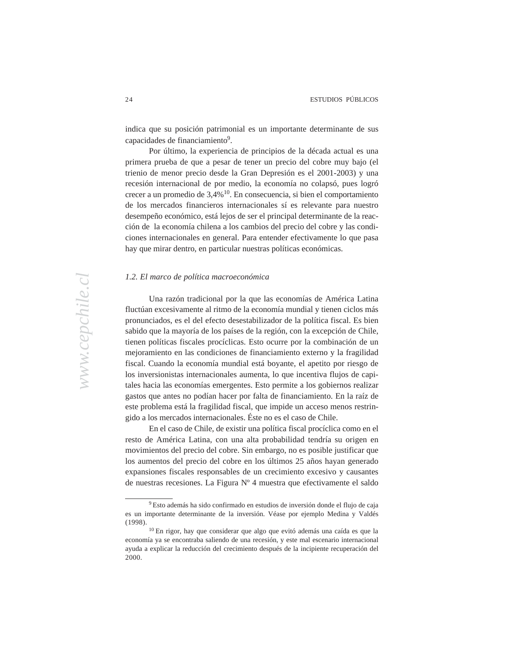economy has slowed somewhat since the coalition's early years in indica que su posición patrimonial es un importante determinante de sus capacidades de financiamiento<sup>9</sup>.

Por último, la experiencia de principios de la década actual es una primera prueba de que a pesar de tener un precio del cobre muy bajo (el trienio de menor precio desde la Gran Depresión es el 2001-2003) y una recesión internacional de por medio, la economía no colapsó, pues logró crecer a un promedio de 3,4%<sup>10</sup>. En consecuencia, si bien el comportamiento de los mercados financieros internacionales sí es relevante para nuestro desempeño económico, está lejos de ser el principal determinante de la reacción de la economía chilena a los cambios del precio del cobre y las condiciones internacionales en general. Para entender efectivamente lo que pasa hay que mirar dentro, en particular nuestras políticas económicas.

## 1.2. El marco de política macroeconómica  $\mathbf{r}$

Una razón tradicional por la que las economías de América Latina fluctúan excesivamente al ritmo de la economía mundial y tienen ciclos más pronunciados, es el del efecto desestabilizador de la política fiscal. Es bien sabido que la mayoría de los países de la región, con la excepción de Chile, tienen políticas fiscales procíclicas. Esto ocurre por la combinación de un mejoramiento en las condiciones de financiamiento externo y la fragilidad fiscal. Cuando la economía mundial está boyante, el apetito por riesgo de los inversionistas internacionales aumenta, lo que incentiva flujos de capitales hacia las economías emergentes. Esto permite a los gobiernos realizar gastos que antes no podían hacer por falta de financiamiento. En la raíz de este problema está la fragilidad fiscal, que impide un acceso menos restringido a los mercados internacionales. Éste no es el caso de Chile.

> En el caso de Chile, de existir una política fiscal procíclica como en el resto de América Latina, con una alta probabilidad tendría su origen en movimientos del precio del cobre. Sin embargo, no es posible justificar que los aumentos del precio del cobre en los últimos 25 años hayan generado expansiones fiscales responsables de un crecimiento excesivo y causantes de nuestras recesiones. La Figura Nº 4 muestra que efectivamente el saldo

<sup>9</sup> Esto además ha sido confirmado en estudios de inversión donde el flujo de caja es un importante determinante de la inversión. Véase por ejemplo Medina y Valdés (1998).

<sup>10</sup> En rigor, hay que considerar que algo que evitó además una caída es que la economía ya se encontraba saliendo de una recesión, y este mal escenario internacional ayuda a explicar la reducción del crecimiento después de la incipiente recuperación del 2000.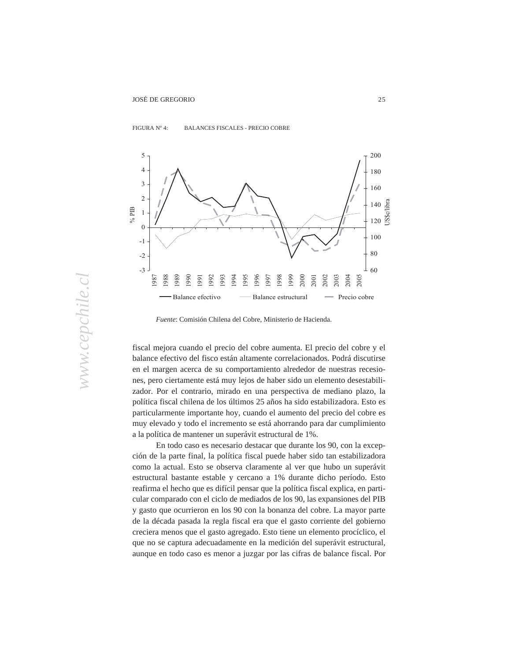

## FIGURA Nº 4: BALANCES FISCALES - PRECIO COBRE  $\frac{1}{2}$  during the 1990s. Moreover, the 1990s in the 1990s. The coalition is in the coalition in  $\frac{1}{2}$



necessarily devastating to the coalition's survival for a number of reasons. *Fuente*: Comisión Chilena del Cobre, Ministerio de Hacienda.

fiscal mejora cuando el precio del cobre aumenta. El precio del cobre y el balance efectivo del fisco están altamente correlacionados. Podrá discutirse en el margen acerca de su comportamiento alrededor de nuestras recesiones, pero ciertamente está muy lejos de haber sido un elemento desestabilizador. Por el contrario, mirado en una perspectiva de mediano plazo, la política fiscal chilena de los últimos 25 años ha sido estabilizadora. Esto es particularmente importante hoy, cuando el aumento del precio del cobre es muy elevado y todo el incremento se está ahorrando para dar cumplimiento a la política de mantener un superávit estructural de 1%.

> En todo caso es necesario destacar que durante los 90, con la excepción de la parte final, la política fiscal puede haber sido tan estabilizadora como la actual. Esto se observa claramente al ver que hubo un superávit estructural bastante estable y cercano a 1% durante dicho período. Esto reafirma el hecho que es difícil pensar que la política fiscal explica, en particular comparado con el ciclo de mediados de los 90, las expansiones del PIB y gasto que ocurrieron en los 90 con la bonanza del cobre. La mayor parte de la década pasada la regla fiscal era que el gasto corriente del gobierno creciera menos que el gasto agregado. Esto tiene un elemento procíclico, el que no se captura adecuadamente en la medición del superávit estructural, aunque en todo caso es menor a juzgar por las cifras de balance fiscal. Por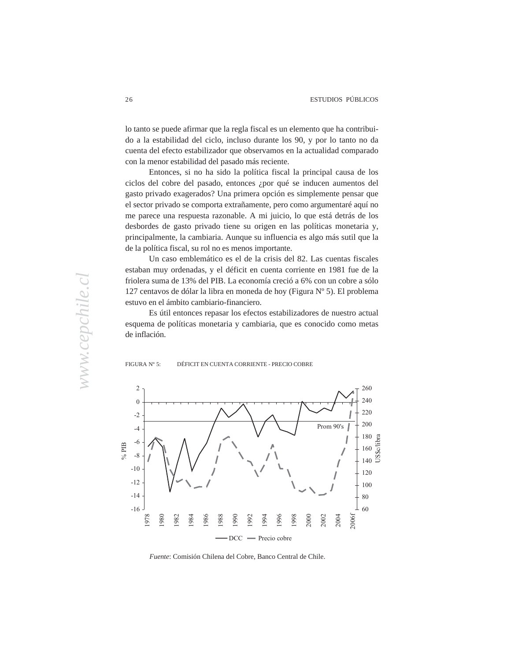economy has slowed somewhat since the coalition's early years in lo tanto se puede afirmar que la regla fiscal es un elemento que ha contribuido a la estabilidad del ciclo, incluso durante los 90, y por lo tanto no da cuenta del efecto estabilizador que observamos en la actualidad comparado con la menor estabilidad del pasado más reciente.

Entonces, si no ha sido la política fiscal la principal causa de los ciclos del cobre del pasado, entonces ¿por qué se inducen aumentos del gasto privado exagerados? Una primera opción es simplemente pensar que el sector privado se comporta extrañamente, pero como argumentaré aquí no me parece una respuesta razonable. A mi juicio, lo que está detrás de los desbordes de gasto privado tiene su origen en las políticas monetaria y, principalmente, la cambiaria. Aunque su influencia es algo más sutil que la de la política fiscal, su rol no es menos importante.

Un caso emblemático es el de la crisis del 82. Las cuentas fiscales estaban muy ordenadas, y el déficit en cuenta corriente en 1981 fue de la friolera suma de 13% del PIB. La economía creció a 6% con un cobre a sólo 127 centavos de dólar la libra en moneda de hoy (Figura Nº 5). El problema estuvo en el ámbito cambiario-financiero.

Es útil entonces repasar los efectos estabilizadores de nuestro actual esquema de políticas monetaria y cambiaria, que es conocido como metas  $\alpha$  in factor. de inflación.





*Fuente*: Comisión Chilena del Cobre, Banco Central de Chile.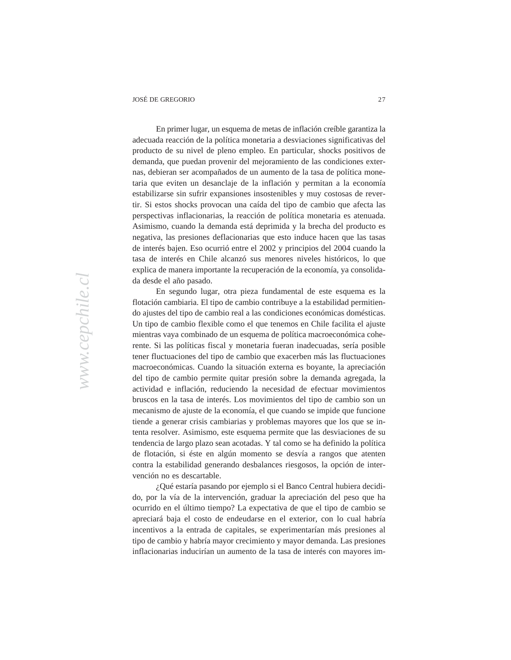economy has slowed somewhat since the coalition's early years in En primer lugar, un esquema de metas de inflación creíble garantiza la adecuada reacción de la política monetaria a desviaciones significativas del producto de su nivel de pleno empleo. En particular, shocks positivos de demanda, que puedan provenir del mejoramiento de las condiciones externas, debieran ser acompañados de un aumento de la tasa de política monetaria que eviten un desanclaje de la inflación y permitan a la economía estabilizarse sin sufrir expansiones insostenibles y muy costosas de revertir. Si estos shocks provocan una caída del tipo de cambio que afecta las perspectivas inflacionarias, la reacción de política monetaria es atenuada. Asimismo, cuando la demanda está deprimida y la brecha del producto es negativa, las presiones deflacionarias que esto induce hacen que las tasas de interés bajen. Eso ocurrió entre el 2002 y principios del 2004 cuando la tasa de interés en Chile alcanzó sus menores niveles históricos, lo que explica de manera importante la recuperación de la economía, ya consolidada desde el año pasado.

En segundo lugar, otra pieza fundamental de este esquema es la flotación cambiaria. El tipo de cambio contribuye a la estabilidad permitiendo ajustes del tipo de cambio real a las condiciones económicas domésticas. Un tipo de cambio flexible como el que tenemos en Chile facilita el ajuste mientras vaya combinado de un esquema de política macroeconómica coherente. Si las políticas fiscal y monetaria fueran inadecuadas, sería posible tener fluctuaciones del tipo de cambio que exacerben más las fluctuaciones macroeconómicas. Cuando la situación externa es boyante, la apreciación del tipo de cambio permite quitar presión sobre la demanda agregada, la actividad e inflación, reduciendo la necesidad de efectuar movimientos bruscos en la tasa de interés. Los movimientos del tipo de cambio son un mecanismo de ajuste de la economía, el que cuando se impide que funcione tiende a generar crisis cambiarias y problemas mayores que los que se intenta resolver. Asimismo, este esquema permite que las desviaciones de su tendencia de largo plazo sean acotadas. Y tal como se ha definido la política de flotación, si éste en algún momento se desvía a rangos que atenten contra la estabilidad generando desbalances riesgosos, la opción de intervención no es descartable.

> ¿Qué estaría pasando por ejemplo si el Banco Central hubiera decidido, por la vía de la intervención, graduar la apreciación del peso que ha ocurrido en el último tiempo? La expectativa de que el tipo de cambio se apreciará baja el costo de endeudarse en el exterior, con lo cual habría incentivos a la entrada de capitales, se experimentarían más presiones al tipo de cambio y habría mayor crecimiento y mayor demanda. Las presiones inflacionarias inducirían un aumento de la tasa de interés con mayores im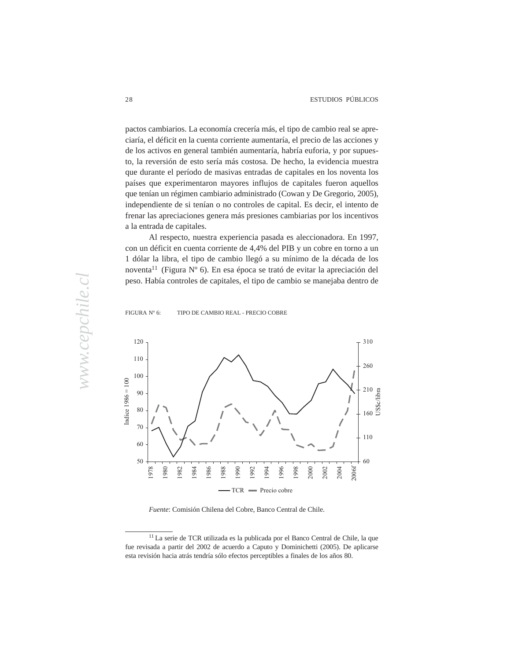economy has slowed somewhat since the coalition's early years in pactos cambiarios. La economía crecería más, el tipo de cambio real se apreciaría, el déficit en la cuenta corriente aumentaría, el precio de las acciones y de los activos en general también aumentaría, habría euforia, y por supuesto, la reversión de esto sería más costosa. De hecho, la evidencia muestra que durante el período de masivas entradas de capitales en los noventa los países que experimentaron mayores influjos de capitales fueron aquellos que tenían un régimen cambiario administrado (Cowan y De Gregorio, 2005), independiente de si tenían o no controles de capital. Es decir, el intento de frenar las apreciaciones genera más presiones cambiarias por los incentivos coalitions and community and among Latin America's presidential presidential presents and present among Latin America's present and any of the contract of the contract of the contract of the contract of the contract of the a la entrada de capitales.

Al respecto, nuestra experiencia pasada es aleccionadora. En 1997, con un déficit en cuenta corriente de 4,4% del PIB y un cobre en torno a un 1 dólar la libra, el tipo de cambio llegó a su mínimo de la década de los noventa<sup>11</sup> (Figura N° 6). En esa época se trató de evitar la apreciación del peso. Había controles de capitales, el tipo de cambio se manejaba dentro de

# FIGURA Nº 6: TIPO DE CAMBIO REAL - PRECIO COBRE



*Fuente*: Comisión Chilena del Cobre, Banco Central de Chile.

<sup>11</sup> La serie de TCR utilizada es la publicada por el Banco Central de Chile, la que fue revisada a partir del 2002 de acuerdo a Caputo y Dominichetti (2005). De aplicarse esta revisión hacia atrás tendría sólo efectos perceptibles a finales de los años 80.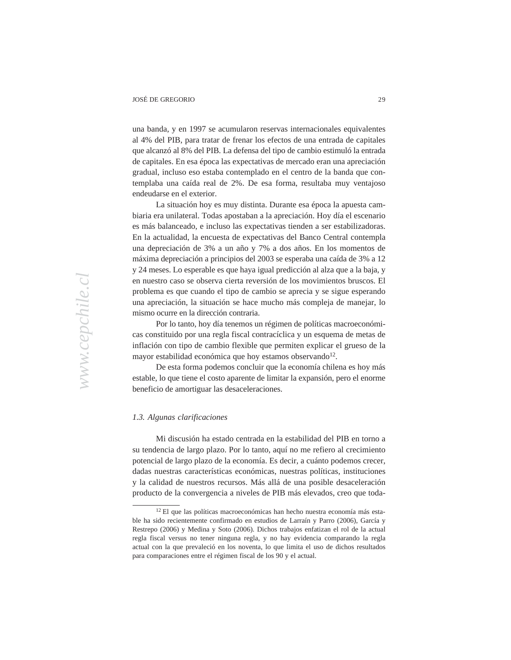economy has slowed somewhat since the coalition's early years in una banda, y en 1997 se acumularon reservas internacionales equivalentes al 4% del PIB, para tratar de frenar los efectos de una entrada de capitales que alcanzó al 8% del PIB. La defensa del tipo de cambio estimuló la entrada de capitales. En esa época las expectativas de mercado eran una apreciación gradual, incluso eso estaba contemplado en el centro de la banda que contemplaba una caída real de 2%. De esa forma, resultaba muy ventajoso  $\alpha$  ended and  $\alpha$  by the 2005 elections, the  $\alpha$ endeudarse en el exterior.

La situación hoy es muy distinta. Durante esa época la apuesta cambiaria era unilateral. Todas apostaban a la apreciación. Hoy día el escenario es más balanceado, e incluso las expectativas tienden a ser estabilizadoras. En la actualidad, la encuesta de expectativas del Banco Central contempla una depreciación de 3% a un año y 7% a dos años. En los momentos de máxima depreciación a principios del 2003 se esperaba una caída de 3% a 12 y 24 meses. Lo esperable es que haya igual predicción al alza que a la baja, y en nuestro caso se observa cierta reversión de los movimientos bruscos. El problema es que cuando el tipo de cambio se aprecia y se sigue esperando una apreciación, la situación se hace mucho más compleja de manejar, lo mismo ocurre en la dirección contraria.

Por lo tanto, hoy día tenemos un régimen de políticas macroeconómicas constituido por una regla fiscal contracíclica y un esquema de metas de inflación con tipo de cambio flexible que permiten explicar el grueso de la mayor estabilidad económica que hoy estamos observando<sup>12</sup>.

De esta forma podemos concluir que la economía chilena es hoy más estable, lo que tiene el costo aparente de limitar la expansión, pero el enorme beneficio de amortiguar las desaceleraciones.

### *1.3. Algunas clarificaciones*

Mi discusión ha estado centrada en la estabilidad del PIB en torno a su tendencia de largo plazo. Por lo tanto, aquí no me refiero al crecimiento potencial de largo plazo de la economía. Es decir, a cuánto podemos crecer, dadas nuestras características económicas, nuestras políticas, instituciones y la calidad de nuestros recursos. Más allá de una posible desaceleración producto de la convergencia a niveles de PIB más elevados, creo que toda-

<sup>12</sup> El que las políticas macroeconómicas han hecho nuestra economía más estable ha sido recientemente confirmado en estudios de Larraín y Parro (2006), García y Restrepo (2006) y Medina y Soto (2006). Dichos trabajos enfatizan el rol de la actual regla fiscal versus no tener ninguna regla, y no hay evidencia comparando la regla actual con la que prevaleció en los noventa, lo que limita el uso de dichos resultados para comparaciones entre el régimen fiscal de los 90 y el actual.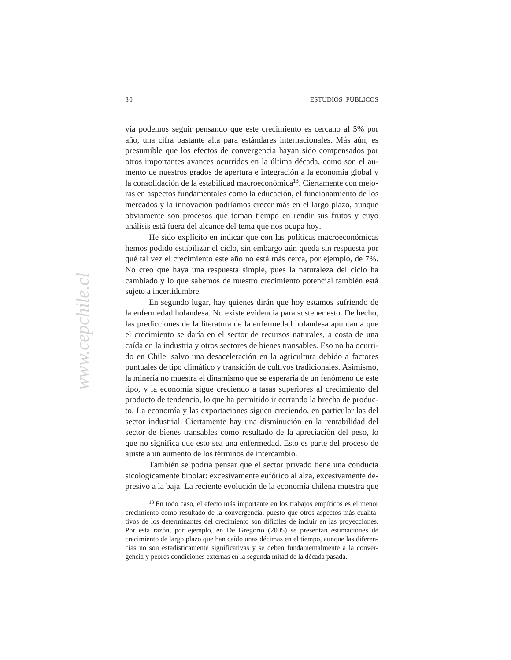economy has slowed somewhat since the coalition's early years in vía podemos seguir pensando que este crecimiento es cercano al 5% por año, una cifra bastante alta para estándares internacionales. Más aún, es presumible que los efectos de convergencia hayan sido compensados por otros importantes avances ocurridos en la última década, como son el aumento de nuestros grados de apertura e integración a la economía global y la consolidación de la estabilidad macroeconómica<sup>13</sup>. Ciertamente con mejoras en aspectos fundamentales como la educación, el funcionamiento de los mercados y la innovación podríamos crecer más en el largo plazo, aunque obviamente son procesos que toman tiempo en rendir sus frutos y cuyo análisis está fuera del alcance del tema que nos ocupa hoy.

He sido explícito en indicar que con las políticas macroeconómicas hemos podido estabilizar el ciclo, sin embargo aún queda sin respuesta por qué tal vez el crecimiento este año no está más cerca, por ejemplo, de 7%. No creo que haya una respuesta simple, pues la naturaleza del ciclo ha cambiado y lo que sabemos de nuestro crecimiento potencial también está sujeto a incertidumore. sujeto a incertidumbre.

En segundo lugar, hay quienes dirán que hoy estamos sufriendo de la enfermedad holandesa. No existe evidencia para sostener esto. De hecho, las predicciones de la literatura de la enfermedad holandesa apuntan a que el crecimiento se daría en el sector de recursos naturales, a costa de una caída en la industria y otros sectores de bienes transables. Eso no ha ocurrido en Chile, salvo una desaceleración en la agricultura debido a factores puntuales de tipo climático y transición de cultivos tradicionales. Asimismo, la minería no muestra el dinamismo que se esperaría de un fenómeno de este tipo, y la economía sigue creciendo a tasas superiores al crecimiento del producto de tendencia, lo que ha permitido ir cerrando la brecha de producto. La economía y las exportaciones siguen creciendo, en particular las del sector industrial. Ciertamente hay una disminución en la rentabilidad del sector de bienes transables como resultado de la apreciación del peso, lo que no significa que esto sea una enfermedad. Esto es parte del proceso de ajuste a un aumento de los términos de intercambio.

> También se podría pensar que el sector privado tiene una conducta sicológicamente bipolar: excesivamente eufórico al alza, excesivamente depresivo a la baja. La reciente evolución de la economía chilena muestra que

<sup>13</sup> En todo caso, el efecto más importante en los trabajos empíricos es el menor crecimiento como resultado de la convergencia, puesto que otros aspectos más cualitativos de los determinantes del crecimiento son difíciles de incluir en las proyecciones. Por esta razón, por ejemplo, en De Gregorio (2005) se presentan estimaciones de crecimiento de largo plazo que han caído unas décimas en el tiempo, aunque las diferencias no son estadísticamente significativas y se deben fundamentalmente a la convergencia y peores condiciones externas en la segunda mitad de la década pasada.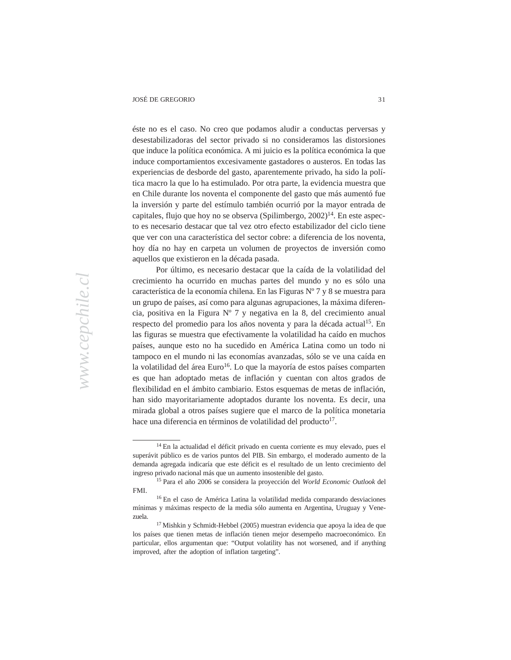economy has slowed somewhat since the coalition's early years in éste no es el caso. No creo que podamos aludir a conductas perversas y desestabilizadoras del sector privado si no consideramos las distorsiones que induce la política económica. A mi juicio es la política económica la que induce comportamientos excesivamente gastadores o austeros. En todas las experiencias de desborde del gasto, aparentemente privado, ha sido la política macro la que lo ha estimulado. Por otra parte, la evidencia muestra que en Chile durante los noventa el componente del gasto que más aumentó fue la inversión y parte del estímulo también ocurrió por la mayor entrada de capitales, flujo que hoy no se observa (Spilimbergo,  $2002$ )<sup>14</sup>. En este aspecto es necesario destacar que tal vez otro efecto estabilizador del ciclo tiene que ver con una característica del sector cobre: a diferencia de los noventa, hoy día no hay en carpeta un volumen de proyectos de inversión como parliamentary rights from five of the coalition's deputies in 2002, and the aquellos que existieron en la década pasada.

Por último, es necesario destacar que la caída de la volatilidad del crecimiento ha ocurrido en muchas partes del mundo y no es sólo una característica de la economía chilena. En las Figuras Nº 7 y 8 se muestra para un grupo de países, así como para algunas agrupaciones, la máxima diferencia, positiva en la Figura N° 7 y negativa en la 8, del crecimiento anual respecto del promedio para los años noventa y para la década actual<sup>15</sup>. En las figuras se muestra que efectivamente la volatilidad ha caído en muchos países, aunque esto no ha sucedido en América Latina como un todo ni tampoco en el mundo ni las economías avanzadas, sólo se ve una caída en la volatilidad del área Euro<sup>16</sup>. Lo que la mayoría de estos países comparten es que han adoptado metas de inflación y cuentan con altos grados de flexibilidad en el ámbito cambiario. Estos esquemas de metas de inflación, han sido mayoritariamente adoptados durante los noventa. Es decir, una mirada global a otros países sugiere que el marco de la política monetaria hace una diferencia en términos de volatilidad del producto $17$ .

<sup>14</sup> En la actualidad el déficit privado en cuenta corriente es muy elevado, pues el superávit público es de varios puntos del PIB. Sin embargo, el moderado aumento de la demanda agregada indicaría que este déficit es el resultado de un lento crecimiento del ingreso privado nacional más que un aumento insostenible del gasto.

<sup>15</sup> Para el año 2006 se considera la proyección del *World Economic Outlook* del FMI.

<sup>16</sup> En el caso de América Latina la volatilidad medida comparando desviaciones mínimas y máximas respecto de la media sólo aumenta en Argentina, Uruguay y Venezuela.

<sup>17</sup> Mishkin y Schmidt-Hebbel (2005) muestran evidencia que apoya la idea de que los países que tienen metas de inflación tienen mejor desempeño macroeconómico. En particular, ellos argumentan que: "Output volatility has not worsened, and if anything improved, after the adoption of inflation targeting".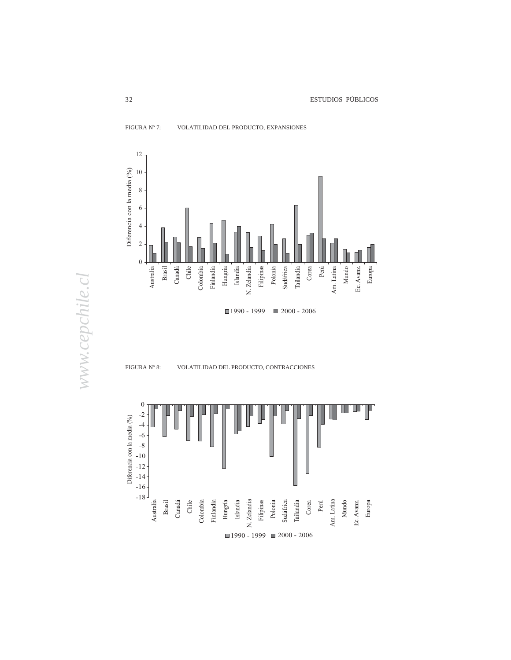

*www.cepchile.cl*

www.cepchile.cl

FIGURA Nº 8: VOLATILIDAD DEL PRODUCTO, CONTRACCIONES

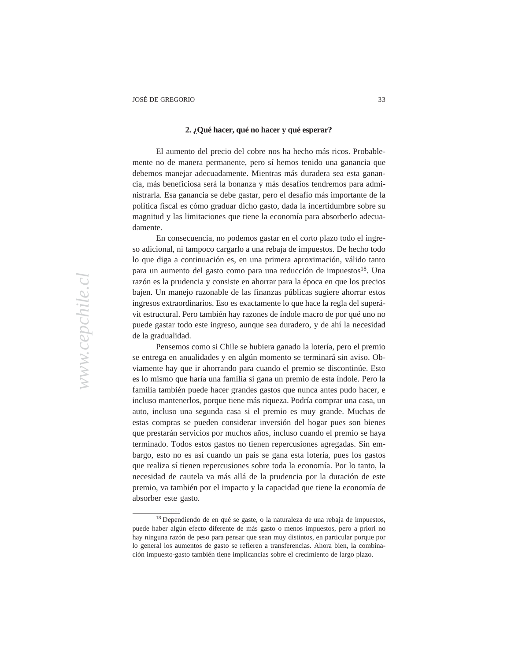## economy has slowed somewhat since the coalition  $\mathcal{L}_{\mathcal{A}}$ government during the 1990s. Moreover, the coalition itself was initially **2. ¿Qué hacer, qué no hacer y qué esperar?**

El aumento del precio del cobre nos ha hecho más ricos. Probablemente no de manera permanente, pero sí hemos tenido una ganancia que debemos manejar adecuadamente. Mientras más duradera sea esta ganancia, más beneficiosa será la bonanza y más desafíos tendremos para administrarla. Esa ganancia se debe gastar, pero el desafío más importante de la política fiscal es cómo graduar dicho gasto, dada la incertidumbre sobre su magnitud y las limitaciones que tiene la economía para absorberlo adecuacommente, much less among Latin America's presidential among Latin America's presidential among Latin America's presidential among Latin America's presidential among Latin America's presidential among Latin America's presi damente.

En consecuencia, no podemos gastar en el corto plazo todo el ingreso adicional, ni tampoco cargarlo a una rebaja de impuestos. De hecho todo lo que diga a continuación es, en una primera aproximación, válido tanto para un aumento del gasto como para una reducción de impuestos<sup>18</sup>. Una razón es la prudencia y consiste en ahorrar para la época en que los precios bajen. Un manejo razonable de las finanzas públicas sugiere ahorrar estos ingresos extraordinarios. Eso es exactamente lo que hace la regla del superávit estructural. Pero también hay razones de índole macro de por qué uno no puede gastar todo este ingreso, aunque sea duradero, y de ahí la necesidad de la gradualidad.

Pensemos como si Chile se hubiera ganado la lotería, pero el premio se entrega en anualidades y en algún momento se terminará sin aviso. Obviamente hay que ir ahorrando para cuando el premio se discontinúe. Esto es lo mismo que haría una familia si gana un premio de esta índole. Pero la familia también puede hacer grandes gastos que nunca antes pudo hacer, e incluso mantenerlos, porque tiene más riqueza. Podría comprar una casa, un auto, incluso una segunda casa si el premio es muy grande. Muchas de estas compras se pueden considerar inversión del hogar pues son bienes que prestarán servicios por muchos años, incluso cuando el premio se haya terminado. Todos estos gastos no tienen repercusiones agregadas. Sin embargo, esto no es así cuando un país se gana esta lotería, pues los gastos que realiza sí tienen repercusiones sobre toda la economía. Por lo tanto, la necesidad de cautela va más allá de la prudencia por la duración de este premio, va también por el impacto y la capacidad que tiene la economía de absorber este gasto.

<sup>18</sup> Dependiendo de en qué se gaste, o la naturaleza de una rebaja de impuestos, puede haber algún efecto diferente de más gasto o menos impuestos, pero a priori no hay ninguna razón de peso para pensar que sean muy distintos, en particular porque por lo general los aumentos de gasto se refieren a transferencias. Ahora bien, la combinación impuesto-gasto también tiene implicancias sobre el crecimiento de largo plazo.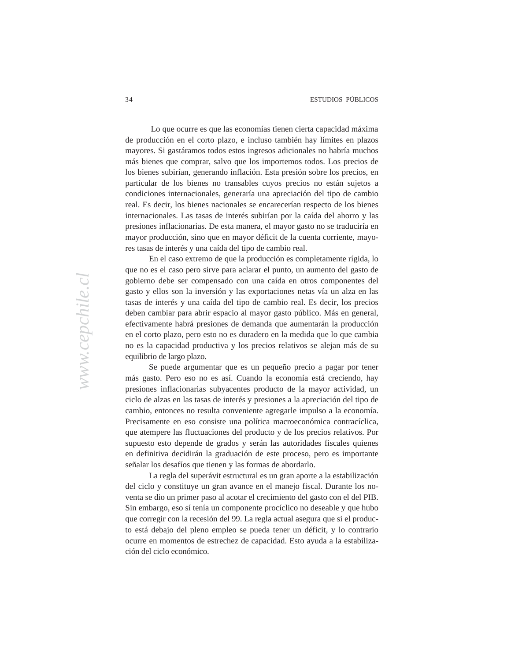economy has slowed somewhat since the coalition's early years in Lo que ocurre es que las economías tienen cierta capacidad máxima de producción en el corto plazo, e incluso también hay límites en plazos mayores. Si gastáramos todos estos ingresos adicionales no habría muchos más bienes que comprar, salvo que los importemos todos. Los precios de los bienes subirían, generando inflación. Esta presión sobre los precios, en particular de los bienes no transables cuyos precios no están sujetos a condiciones internacionales, generaría una apreciación del tipo de cambio real. Es decir, los bienes nacionales se encarecerían respecto de los bienes internacionales. Las tasas de interés subirían por la caída del ahorro y las presiones inflacionarias. De esta manera, el mayor gasto no se traduciría en mayor producción, sino que en mayor déficit de la cuenta corriente, mayores tasas de interés y una caída del tipo de cambio real.

En el caso extremo de que la producción es completamente rígida, lo que no es el caso pero sirve para aclarar el punto, un aumento del gasto de gobierno debe ser compensado con una caída en otros componentes del gasto y ellos son la inversión y las exportaciones netas vía un alza en las tasas de interés y una caída del tipo de cambio real. Es decir, los precios deben cambiar para abrir espacio al mayor gasto público. Más en general, efectivamente habrá presiones de demanda que aumentarán la producción en el corto plazo, pero esto no es duradero en la medida que lo que cambia no es la capacidad productiva y los precios relativos se alejan más de su equilibrio de largo plazo.

Se puede argumentar que es un pequeño precio a pagar por tener más gasto. Pero eso no es así. Cuando la economía está creciendo, hay presiones inflacionarias subyacentes producto de la mayor actividad, un ciclo de alzas en las tasas de interés y presiones a la apreciación del tipo de cambio, entonces no resulta conveniente agregarle impulso a la economía. Precisamente en eso consiste una política macroeconómica contracíclica, que atempere las fluctuaciones del producto y de los precios relativos. Por supuesto esto depende de grados y serán las autoridades fiscales quienes en definitiva decidirán la graduación de este proceso, pero es importante señalar los desafíos que tienen y las formas de abordarlo.

> La regla del superávit estructural es un gran aporte a la estabilización del ciclo y constituye un gran avance en el manejo fiscal. Durante los noventa se dio un primer paso al acotar el crecimiento del gasto con el del PIB. Sin embargo, eso sí tenía un componente procíclico no deseable y que hubo que corregir con la recesión del 99. La regla actual asegura que si el producto está debajo del pleno empleo se pueda tener un déficit, y lo contrario ocurre en momentos de estrechez de capacidad. Esto ayuda a la estabilización del ciclo económico.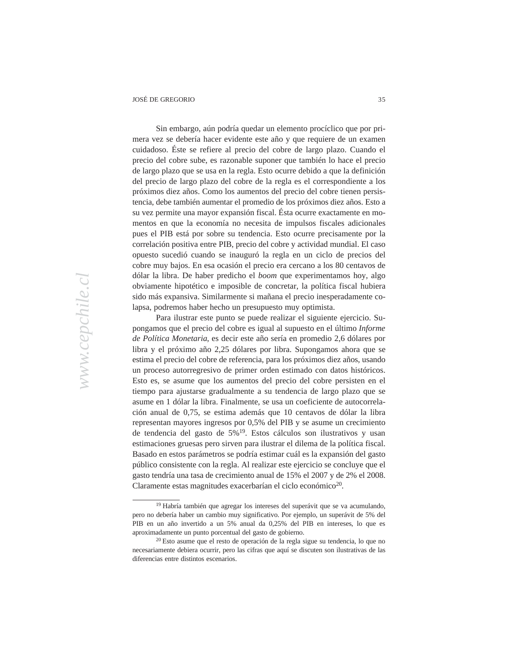economy has slowed somewhat since the coalition's early years in sui embargo, aun pouria queuar un elemento procienco d mera vez se debería hacer evidente este año y que requiere de un examen 1980s, so as time passes, the compelling force of that initial motivation precio del cobre sube, es razonable suponer que también lo hace el precio precio del cobre sube, es razonable suponer que también lo nace el precio<br>de largo plazo que se usa en la regla. Esto ocurre debido a que la definición del precio de largo plazo del cobre de la regla es el correspondiente a los over social issues, such as the legal status of divorce and access to birth próximos diez años. Como los aumentos del precio del cobre tienen persiscontrol. Finally, by the 2005 elections, the Concertación will have held the tencia, debe también aumentar el promedio de los próximos diez años. Esto a presidency and a majority in the Chamber of Deputies (the legislative house su vez permite una mayor expansión fiscal. Ésta ocurre exactamente en moelectric primarie analysis en pulsos con esta de impulsos fiscales adicionales pues el PIB está por sobre su tendencia. Esto ocurre precisamente por la correlación positiva entre PIB, precio del cobre y actividad mundial. El caso opuesto sucedió cuando se inauguró la regla en un ciclo de precios del cobre muy bajos. En esa ocasión el precio era cercano a los 80 centavos de dólar la libra. De haber predicho el *boom* que experimentamos hoy, algo obviamente hipotético e imposible de concretar, la política fiscal hubiera sido más expansiva. Similarmente si mañana el precio inesperadamente colapsa, podremos haber hecho un presupuesto muy optimista. Sin embargo, aún podría quedar un elemento procíclico que por pricuidadoso. Éste se refiere al precio del cobre de largo plazo. Cuando el

Para ilustrar este punto se puede realizar el siguiente ejercicio. Supongamos que el precio del cobre es igual al supuesto en el último *Informe* de Política Monetaria, es decir este año sería en promedio 2,6 dólares por libra y el próximo año 2,25 dólares por libra. Supongamos ahora que se estima el precio del cobre de referencia, para los próximos diez años, usando un proceso autorregresivo de primer orden estimado con datos históricos. Esto es, se asume que los aumentos del precio del cobre persisten en el tiempo para ajustarse gradualmente a su tendencia de largo plazo que se asume en 1 dólar la libra. Finalmente, se usa un coeficiente de autocorrelación anual de 0,75, se estima además que 10 centavos de dólar la libra representan mayores ingresos por 0,5% del PIB y se asume un crecimiento de tendencia del gasto de  $5\%$ <sup>19</sup>. Estos cálculos son ilustrativos y usan estimaciones gruesas pero sirven para ilustrar el dilema de la política fiscal. Basado en estos parámetros se podría estimar cuál es la expansión del gasto público consistente con la regla. Al realizar este ejercicio se concluye que el gasto tendría una tasa de crecimiento anual de 15% el 2007 y de 2% el 2008. Claramente estas magnitudes exacerbarían el ciclo económico<sup>20</sup>.

<sup>19</sup> Habría también que agregar los intereses del superávit que se va acumulando, pero no debería haber un cambio muy significativo. Por ejemplo, un superávit de 5% del PIB en un año invertido a un 5% anual da 0,25% del PIB en intereses, lo que es aproximadamente un punto porcentual del gasto de gobierno.

<sup>20</sup> Esto asume que el resto de operación de la regla sigue su tendencia, lo que no necesariamente debiera ocurrir, pero las cifras que aquí se discuten son ilustrativas de las diferencias entre distintos escenarios.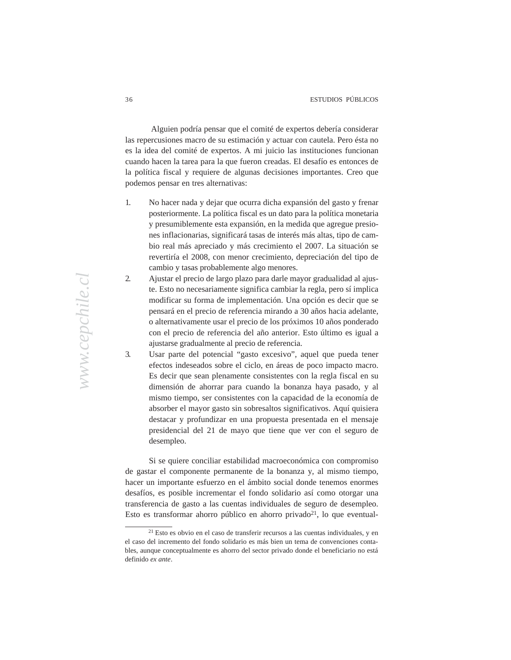economy has slowed somewhat since the coalition's early years in Alguien podría pensar que el comité de expertos debería considerar las repercusiones macro de su estimación y actuar con cautela. Pero ésta no es la idea del comité de expertos. A mi juicio las instituciones funcionan cuando hacen la tarea para la que fueron creadas. El desafío es entonces de la política fiscal y requiere de algunas decisiones importantes. Creo que podemos pensar en tres alternativas:

- 1. No hacer nada y dejar que ocurra dicha expansión del gasto y frenar presidency and a majority in the legislative house house house house posteriormente. La política fiscal es un dato para la política monetaria y presumiblemente esta expansión, en la medida que agregue presiopresumeremente esta expansión, en la medida que agregad presidentes inflacionarias, significará tasas de interés más altas, tipo de camsistematiconalmes, significara asses de mieros mas anas, apo de cam-<br>bio real más apreciado y más crecimiento el 2007. La situación se corruption charges against members, including the stripping of revertiría el 2008, con menor crecimiento, depreciación del tipo de probable of the coalition of the coalition's deprediction as cambio y tasas probablemente algo menores.
- embro y usus procubemente the reins of menores.<br>2. Ajustar el precio de largo plazo para darle mayor gradualidad al ajuslong. One might conclude, then, that the coalition is simply ready to expire. te. Esto no necesariamente significa cambiar la regla, pero sí implica no. Esto no necesariamente significa cambiar la regia, pero si impresionalmente combination. Una opción es decir que se modificar su forma de implementación, e na operar es deen que se pensará en el precio de referencia mirando a 30 años hacia adelante, pensaria en er precio de referencia initialidade a 50 años nueva declarado, o alternativamente usar el precio de los próximos 10 años ponderado In the first place, the Chilean economy has come through the last five years con el precio de referencia del año anterior. Esto último es igual a in far better shape than that of any of its Southern Cone neighbors, and ajustarse gradualmente al precio de referencia.
- employees and gradualment e un freedo de referencial.<br>3. Usar parte del potencial "gasto excesivo", aquel que pueda tener Esta para del potentiam gasto executo, que que pacada tener efectos indeseados sobre el ciclo, en áreas de poco impacto macro. economic steed is sucre of the istues, en areas all poles impacts matrix.<br>Es decir que sean plenamente consistentes con la regla fiscal en su Es deen que seun prenumente consistentes con la regia riseal en su<br>dimensión de ahorrar para cuando la bonanza haya pasado, y al mismo tiempo, ser consistentes con la capacidad de la economía de absorber el mayor gasto sin sobresaltos significativos. Aquí quisiera destacar y profundizar en una propuesta presentada en el mensaje presidencial del 21 de mayo que tiene que ver con el seguro de desempleo.

Si se quiere conciliar estabilidad macroeconómica con compromiso de gastar el componente permanente de la bonanza y, al mismo tiempo, hacer un importante esfuerzo en el ámbito social donde tenemos enormes desafíos, es posible incrementar el fondo solidario así como otorgar una transferencia de gasto a las cuentas individuales de seguro de desempleo. Esto es transformar ahorro público en ahorro privado<sup>21</sup>, lo que eventual-

<sup>21</sup> Esto es obvio en el caso de transferir recursos a las cuentas individuales, y en el caso del incremento del fondo solidario es más bien un tema de convenciones contables, aunque conceptualmente es ahorro del sector privado donde el beneficiario no está definido *ex ante*.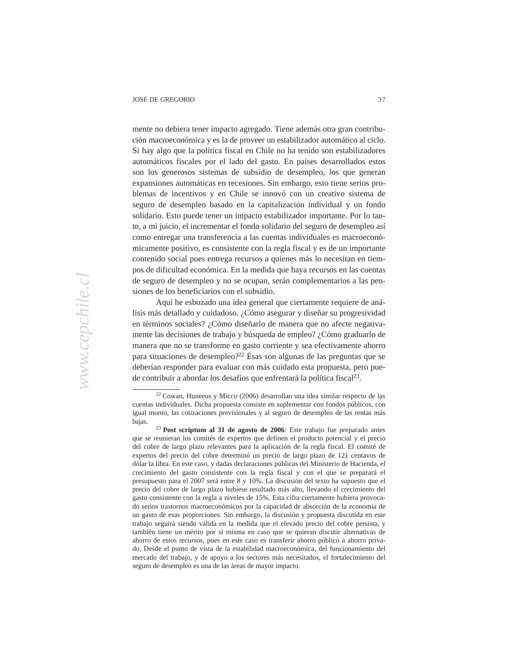economy has slowed somewhat since the coalition's early years in mente no debiera tener impacto agregado. Tiene además otra gran contribución macroeconómica y es la de proveer un estabilizador automático al ciclo. Si hay algo que la política fiscal en Chile no ha tenido son estabilizadores automáticos fiscales por el lado del gasto. En países desarrollados estos son los generosos sistemas de subsidio de desempleo, los que generan expansiones automáticas en recesiones. Sin embargo, esto tiene serios problemas de incentivos y en Chile se innovó con un creativo sistema de seguro de desempleo basado en la capitalización individual y un fondo solidario. Esto puede tener un impacto estabilizador importante. Por lo tanto, a mi juicio, el incrementar el fondo solidario del seguro de desempleo así como entregar una transferencia a las cuentas individuales es macroeconómicamente positivo, es consistente con la regla fiscal y es de un importante contenido social pues entrega recursos a quienes más lo necesitan en tiempos de dificultad económica. En la medida que haya recursos en las cuentas de seguro de desempleo y no se ocupan, serán complementarios a las pensiones de los beneficiarios con el subsidio.

Aquí he esbozado una idea general que ciertamente requiere de análisis más detallado y cuidadoso. ¿Cómo asegurar y diseñar su progresividad en términos sociales? ¿Cómo diseñarlo de manera que no afecte negativamente las decisiones de trabajo y búsqueda de empleo? ¿Cómo graduarlo de manera que no se transforme en gasto corriente y sea efectivamente ahorro para situaciones de desempleo?<sup>22</sup> Ésas son algunas de las preguntas que se deberían responder para evaluar con más cuidado esta propuesta, pero puede contribuir a abordar los desafíos que enfrentará la política fiscal<sup>23</sup>.

<sup>22</sup> Cowan, Huneeus y Micco (2006) desarrollan una idea similar respecto de las cuentas individuales. Dicha propuesta consiste en suplementar con fondos públicos, con igual monto, las cotizaciones previsionales y al seguro de desempleo de las rentas más bajas.

<sup>23</sup>**Post scriptum al 31 de agosto de 2006**: Este trabajo fue preparado antes que se reunieran los comités de expertos que definen el producto potencial y el precio del cobre de largo plazo relevantes para la aplicación de la regla fiscal. El comité de expertos del precio del cobre determinó un precio de largo plazo de 121 centavos de dólar la libra. En este caso, y dadas declaraciones públicas del Ministerio de Hacienda, el crecimiento del gasto consistente con la regla fiscal y con el que se preparará el presupuesto para el 2007 será entre 8 y 10%. La discusión del texto ha supuesto que el precio del cobre de largo plazo hubiese resultado más alto, llevando el crecimiento del gasto consistente con la regla a niveles de 15%. Esta cifra ciertamente hubiera provocado serios trastornos macroeconómicos por la capacidad de absorción de la economía de un gasto de esas proporciones. Sin embargo, la discusión y propuesta discutida en este trabajo seguirá siendo válida en la medida que el elevado precio del cobre persista, y también tiene un mérito por sí misma en caso que se quieran discutir alternativas de ahorro de estos recursos, pues en este caso es transferir ahorro público a ahorro privado. Desde el punto de vista de la estabilidad macroeconómica, del funcionamiento del mercado del trabajo, y de apoyo a los sectores más necesitados, el fortalecimiento del seguro de desempleo es una de las áreas de mayor impacto.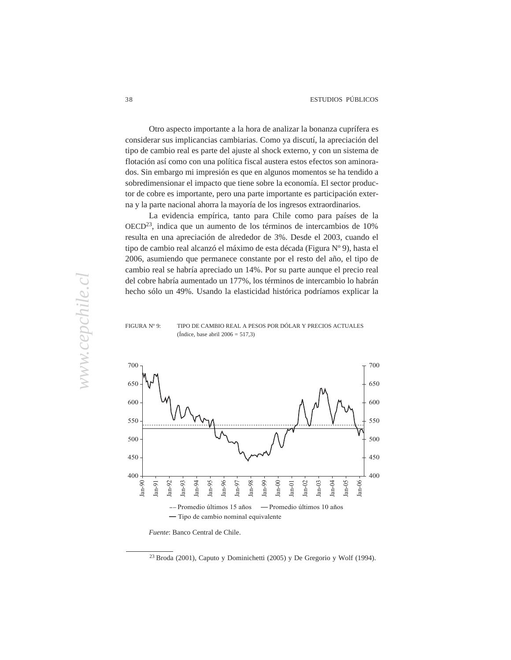Otro aspecto importante a la hora de analizar la bonanza cuprífera es considerar sus implicancias cambiarias. Como ya discutí, la apreciación del tipo de cambio real es parte del ajuste al shock externo, y con un sistema de flotación así como con una política fiscal austera estos efectos son aminorados. Sin embargo mi impresión es que en algunos momentos se ha tendido a sobredimensionar el impacto que tiene sobre la economía. El sector productor de cobre es importante, pero una parte importante es participación externa y la parte nacional ahorra la mayoría de los ingresos extraordinarios.

economy has slowed somewhat since the coalition's early years in

La evidencia empírica, tanto para Chile como para países de la  $OECD<sup>23</sup>$ , indica que un aumento de los términos de intercambios de 10% resulta en una apreciación de alrededor de 3%. Desde el 2003, cuando el tipo de cambio real alcanzó el máximo de esta década (Figura Nº 9), hasta el 2006, asumiendo que permanece constante por el resto del año, el tipo de cambio real se habría apreciado un 14%. Por su parte aunque el precio real del cobre habría aumentado un 177%, los términos de intercambio lo habrán hecho sólo un 49%. Usando la elasticidad histórica podríamos explicar la

### FIGURA Nº 9: TIPO DE CAMBIO REAL A PESOS POR DOLAR Y PRECIOS ACTUALES (in the shape that  $\alpha = \frac{1}{2000} = 317,$ ) (Índice, base abril  $2006 = 517.3$ )



*Fuente*: Banco Central de Chile.

 $23$  Broda (2001), Caputo y Dominichetti (2005) y De Gregorio y Wolf (1994).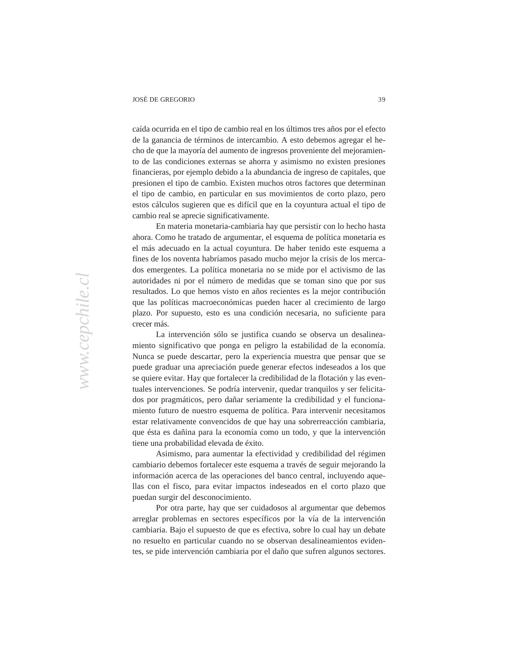economy has slowed somewhat since the coalition's early years in caída ocurrida en el tipo de cambio real en los últimos tres años por el efecto de la ganancia de términos de intercambio. A esto debemos agregar el hecho de que la mayoría del aumento de ingresos proveniente del mejoramiento de las condiciones externas se ahorra y asimismo no existen presiones financieras, por ejemplo debido a la abundancia de ingreso de capitales, que presionen el tipo de cambio. Existen muchos otros factores que determinan el tipo de cambio, en particular en sus movimientos de corto plazo, pero estos cálculos sugieren que es difícil que en la coyuntura actual el tipo de cambio real se aprecie significativamente.

En materia monetaria-cambiaria hay que persistir con lo hecho hasta ahora. Como he tratado de argumentar, el esquema de política monetaria es el más adecuado en la actual coyuntura. De haber tenido este esquema a fines de los noventa habríamos pasado mucho mejor la crisis de los mercados emergentes. La política monetaria no se mide por el activismo de las autoridades ni por el número de medidas que se toman sino que por sus resultados. Lo que hemos visto en años recientes es la mejor contribución que las políticas macroeconómicas pueden hacer al crecimiento de largo plazo. Por supuesto, esto es una condición necesaria, no suficiente para In the first place, the chilean economy has come through the come through the last five years five years five years five years five years five years five years five years five years five years five years five years five ye crecer más.

La intervención sólo se justifica cuando se observa un desalineamiento significativo que ponga en peligro la estabilidad de la economía. Nunca se puede descartar, pero la experiencia muestra que pensar que se puede graduar una apreciación puede generar efectos indeseados a los que se quiere evitar. Hay que fortalecer la credibilidad de la flotación y las eventuales intervenciones. Se podría intervenir, quedar tranquilos y ser felicitados por pragmáticos, pero dañar seriamente la credibilidad y el funcionamiento futuro de nuestro esquema de política. Para intervenir necesitamos estar relativamente convencidos de que hay una sobrerreacción cambiaria, que ésta es dañina para la economía como un todo, y que la intervención tiene una probabilidad elevada de éxito.

> Asimismo, para aumentar la efectividad y credibilidad del régimen cambiario debemos fortalecer este esquema a través de seguir mejorando la información acerca de las operaciones del banco central, incluyendo aquellas con el fisco, para evitar impactos indeseados en el corto plazo que puedan surgir del desconocimiento.

> Por otra parte, hay que ser cuidadosos al argumentar que debemos arreglar problemas en sectores específicos por la vía de la intervención cambiaria. Bajo el supuesto de que es efectiva, sobre lo cual hay un debate no resuelto en particular cuando no se observan desalineamientos evidentes, se pide intervención cambiaria por el daño que sufren algunos sectores.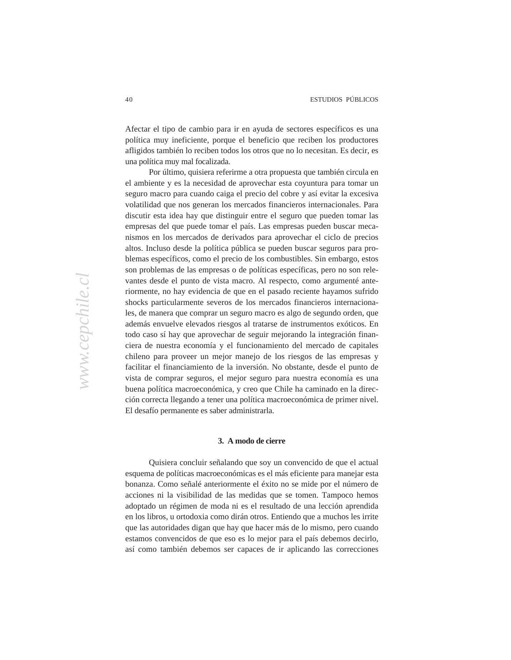economy has slowed somewhat since the coalition's early years in Afectar el tipo de cambio para ir en ayuda de sectores específicos es una política muy ineficiente, porque el beneficio que reciben los productores afligidos también lo reciben todos los otros que no lo necesitan. Es decir, es una política muy mal focalizada.

Por último, quisiera referirme a otra propuesta que también circula en el ambiente y es la necesidad de aprovechar esta coyuntura para tomar un seguro macro para cuando caiga el precio del cobre y así evitar la excesiva volatilidad que nos generan los mercados financieros internacionales. Para discutir esta idea hay que distinguir entre el seguro que pueden tomar las empresas del que puede tomar el país. Las empresas pueden buscar mecanismos en los mercados de derivados para aprovechar el ciclo de precios altos. Incluso desde la política pública se pueden buscar seguros para problemas específicos, como el precio de los combustibles. Sin embargo, estos son problemas de las empresas o de políticas específicas, pero no son relevantes desde el punto de vista macro. Al respecto, como argumenté anteriormente, no hay evidencia de que en el pasado reciente hayamos sufrido shocks particularmente severos de los mercados financieros internacionales, de manera que comprar un seguro macro es algo de segundo orden, que además envuelve elevados riesgos al tratarse de instrumentos exóticos. En todo caso sí hay que aprovechar de seguir mejorando la integración financiera de nuestra economía y el funcionamiento del mercado de capitales chileno para proveer un mejor manejo de los riesgos de las empresas y facilitar el financiamiento de la inversión. No obstante, desde el punto de vista de comprar seguros, el mejor seguro para nuestra economía es una buena política macroeconómica, y creo que Chile ha caminado en la dirección correcta llegando a tener una política macroeconómica de primer nivel. El desafío permanente es saber administrarla.

### **3. A modo de cierre**

Quisiera concluir señalando que soy un convencido de que el actual esquema de políticas macroeconómicas es el más eficiente para manejar esta bonanza. Como señalé anteriormente el éxito no se mide por el número de acciones ni la visibilidad de las medidas que se tomen. Tampoco hemos adoptado un régimen de moda ni es el resultado de una lección aprendida en los libros, u ortodoxia como dirán otros. Entiendo que a muchos les irrite que las autoridades digan que hay que hacer más de lo mismo, pero cuando estamos convencidos de que eso es lo mejor para el país debemos decirlo, así como también debemos ser capaces de ir aplicando las correcciones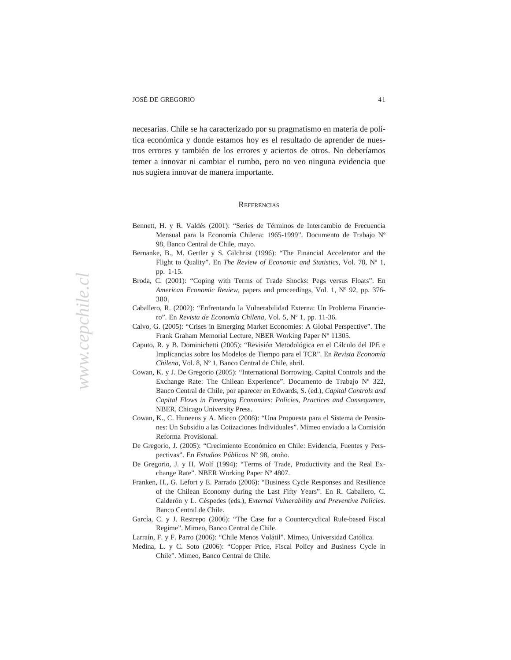economy has slowed somewhat since the coalition's early years in necesarias. Chile se ha caracterizado por su pragmatismo en materia de política económica y donde estamos hoy es el resultado de aprender de nuestros errores y también de los errores y aciertos de otros. No deberíamos temer a innovar ni cambiar el rumbo, pero no veo ninguna evidencia que nos sugiera innovar de manera importante.

#### control. Finally, by the 2005 elections, the Concertación will have held the **PRESIDENCIAS REFERENCIAS**

- Bennett, H. y R. Valdés (2001): "Series de Términos de Intercambio de Frecuencia Mensual para la Economía Chilena: 1965-1999". Documento de Trabajo N<sup>o</sup> Mensual para la Economía Chilena: 1965-1999". Documento de Trabajo N<sup>o</sup> systems, the Concertación is geriatric, bearing the scars of miscellaneous 98, Banco Central de Chile, mayo.
- Bernanke, B., M. Gertler y S. Gilchrist (1996): "The Financial Accelerator and the Flight to Quality". En *The Review of Economic and Statistics*, Vol. 78, N° 1, pp.  $1-15$ . pp. 1-15.
- Broda, C. (2001): "Coping with Terms of Trade Shocks: Pegs versus Floats". En American Economic Review, papers and proceedings, Vol. 1, N° 92, pp. 376-<br>280 380.
- Caballero, R. (2002): "Enfrentando la Vulnerabilidad Externa: Un Problema Financiero". En *Revista de Economía Chilena*, Vol. 5, Nº 1, pp. 11-36.
- Calvo, G. (2005): "Crises in Emerging Market Economies: A Global Perspective". The Frank Graham Memorial Lecture, NBER Working Paper N° 11305.
- Caputo, R. y B. Dominichetti (2005): "Revisión Metodológica en el Cálculo del IPE e Concertación may well be in a position in 2005 to claim credit for good *Chilena*, Vol. 8, Nº 1, Banco Central de Chile, abril. Implicancias sobre los Modelos de Tiempo para el TCR". En *Revista Economía*
- Cowan, K. y J. De Gregorio (2005): "International Borrowing, Capital Controls and the Exchange Rate: The Chilean Experience". Documento de Trabajo Nº 322, Banco Central de Chile, por aparecer en Edwards, S. (ed.), *Capital Controls and Capital Flows in Emerging Economies: Policies, Practices and Consequence*, NBER, Chicago University Press.
	- Cowan, K., C. Huneeus y A. Micco (2006): "Una Propuesta para el Sistema de Pensiones: Un Subsidio a las Cotizaciones Individuales". Mimeo enviado a la Comisión Reforma Provisional.
	- De Gregorio, J. (2005): "Crecimiento Económico en Chile: Evidencia, Fuentes y Perspectivas". En *Estudios Públicos* Nº 98, otoño.
	- De Gregorio, J. y H. Wolf (1994): "Terms of Trade, Productivity and the Real Exchange Rate". NBER Working Paper Nº 4807.
	- Franken, H., G. Lefort y E. Parrado (2006): "Business Cycle Responses and Resilience of the Chilean Economy during the Last Fifty Years". En R. Caballero, C. Calderón y L. Céspedes (eds.), *External Vulnerability and Preventive Policies*. Banco Central de Chile.
	- García, C. y J. Restrepo (2006): "The Case for a Countercyclical Rule-based Fiscal Regime". Mimeo, Banco Central de Chile.
	- Larraín, F. y F. Parro (2006): "Chile Menos Volátil". Mimeo, Universidad Católica.
	- Medina, L. y C. Soto (2006): "Copper Price, Fiscal Policy and Business Cycle in Chile". Mimeo, Banco Central de Chile.